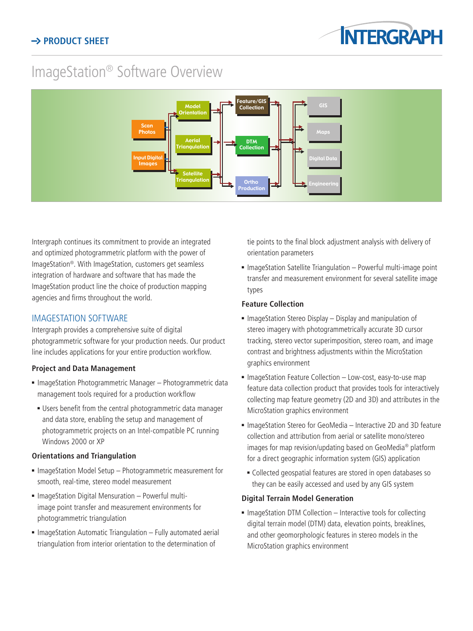# ImageStation® Software Overview



Intergraph continues its commitment to provide an integrated and optimized photogrammetric platform with the power of ImageStation®. With ImageStation, customers get seamless integration of hardware and software that has made the ImageStation product line the choice of production mapping agencies and firms throughout the world.

# IMAGESTATION SOFTWARE

Intergraph provides a comprehensive suite of digital photogrammetric software for your production needs. Our product line includes applications for your entire production workflow.

# **Project and Data Management**

- **ImageStation Photogrammetric Manager Photogrammetric data** management tools required for a production workflow
	- **Users benefit from the central photogrammetric data manager** and data store, enabling the setup and management of photogrammetric projects on an Intel-compatible PC running Windows 2000 or XP

# **Orientations and Triangulation**

- **ImageStation Model Setup Photogrammetric measurement for** smooth, real-time, stereo model measurement
- **ImageStation Digital Mensuration Powerful multi**image point transfer and measurement environments for photogrammetric triangulation
- **ImageStation Automatic Triangulation Fully automated aerial** triangulation from interior orientation to the determination of

tie points to the final block adjustment analysis with delivery of orientation parameters

**ImageStation Satellite Triangulation – Powerful multi-image point** transfer and measurement environment for several satellite image types

## **Feature Collection**

- $\blacksquare$  ImageStation Stereo Display Display and manipulation of stereo imagery with photogrammetrically accurate 3D cursor tracking, stereo vector superimposition, stereo roam, and image contrast and brightness adjustments within the MicroStation graphics environment
- ImageStation Feature Collection Low-cost, easy-to-use map feature data collection product that provides tools for interactively collecting map feature geometry (2D and 3D) and attributes in the MicroStation graphics environment
- ImageStation Stereo for GeoMedia Interactive 2D and 3D feature collection and attribution from aerial or satellite mono/stereo images for map revision/updating based on GeoMedia® platform for a direct geographic information system (GIS) application
- <sup>n</sup> Collected geospatial features are stored in open databases so they can be easily accessed and used by any GIS system

## **Digital Terrain Model Generation**

**n** ImageStation DTM Collection – Interactive tools for collecting digital terrain model (DTM) data, elevation points, breaklines, and other geomorphologic features in stereo models in the MicroStation graphics environment